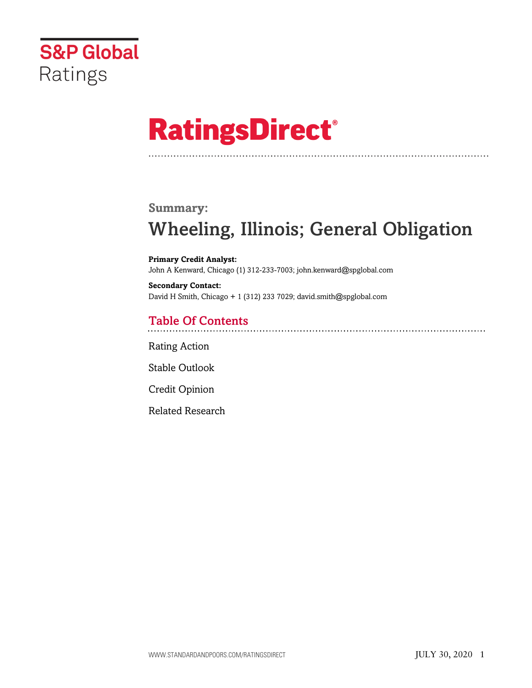

# **RatingsDirect®**

# **Summary:**

# Wheeling, Illinois; General Obligation

**Primary Credit Analyst:** John A Kenward, Chicago (1) 312-233-7003; john.kenward@spglobal.com

**Secondary Contact:** David H Smith, Chicago + 1 (312) 233 7029; david.smith@spglobal.com

# Table Of Contents

[Rating Action](#page-1-0)

[Stable Outlook](#page-2-0)

[Credit Opinion](#page-2-1)

[Related Research](#page-6-0)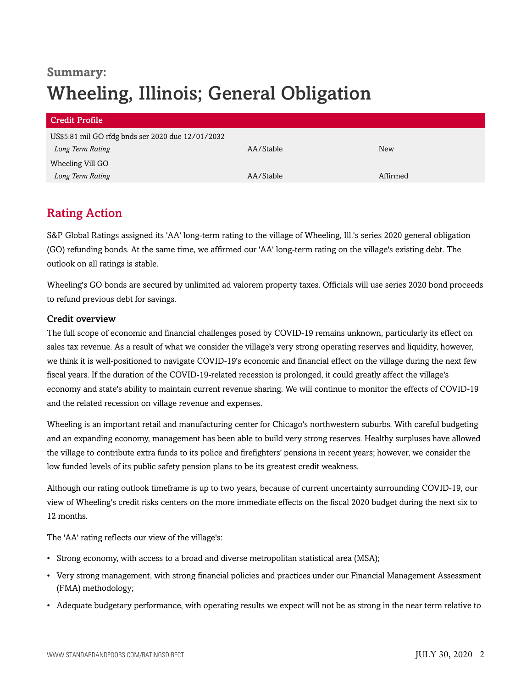# **Summary:** Wheeling, Illinois; General Obligation

| Credit Profile                                    |           |            |  |
|---------------------------------------------------|-----------|------------|--|
| US\$5.81 mil GO rfdg bnds ser 2020 due 12/01/2032 |           |            |  |
| Long Term Rating                                  | AA/Stable | <b>New</b> |  |
| Wheeling Vill GO                                  |           |            |  |
| Long Term Rating                                  | AA/Stable | Affirmed   |  |

# <span id="page-1-0"></span>Rating Action

S&P Global Ratings assigned its 'AA' long-term rating to the village of Wheeling, Ill.'s series 2020 general obligation (GO) refunding bonds. At the same time, we affirmed our 'AA' long-term rating on the village's existing debt. The outlook on all ratings is stable.

Wheeling's GO bonds are secured by unlimited ad valorem property taxes. Officials will use series 2020 bond proceeds to refund previous debt for savings.

# Credit overview

The full scope of economic and financial challenges posed by COVID-19 remains unknown, particularly its effect on sales tax revenue. As a result of what we consider the village's very strong operating reserves and liquidity, however, we think it is well-positioned to navigate COVID-19's economic and financial effect on the village during the next few fiscal years. If the duration of the COVID-19-related recession is prolonged, it could greatly affect the village's economy and state's ability to maintain current revenue sharing. We will continue to monitor the effects of COVID-19 and the related recession on village revenue and expenses.

Wheeling is an important retail and manufacturing center for Chicago's northwestern suburbs. With careful budgeting and an expanding economy, management has been able to build very strong reserves. Healthy surpluses have allowed the village to contribute extra funds to its police and firefighters' pensions in recent years; however, we consider the low funded levels of its public safety pension plans to be its greatest credit weakness.

Although our rating outlook timeframe is up to two years, because of current uncertainty surrounding COVID-19, our view of Wheeling's credit risks centers on the more immediate effects on the fiscal 2020 budget during the next six to 12 months.

The 'AA' rating reflects our view of the village's:

- Strong economy, with access to a broad and diverse metropolitan statistical area (MSA);
- Very strong management, with strong financial policies and practices under our Financial Management Assessment (FMA) methodology;
- Adequate budgetary performance, with operating results we expect will not be as strong in the near term relative to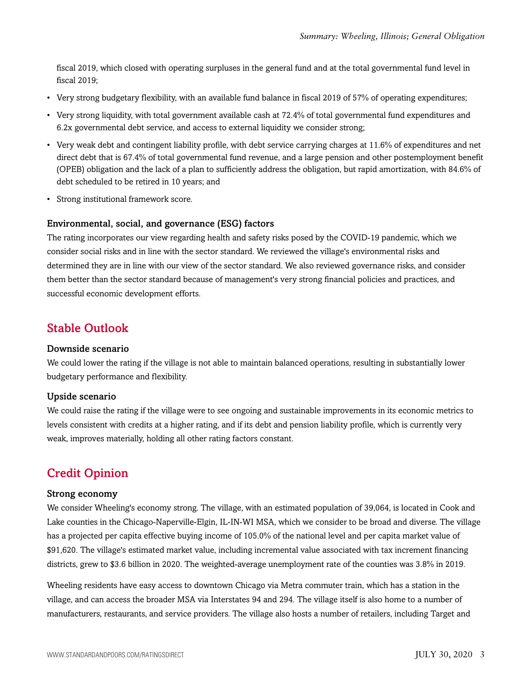fiscal 2019, which closed with operating surpluses in the general fund and at the total governmental fund level in fiscal 2019;

- Very strong budgetary flexibility, with an available fund balance in fiscal 2019 of 57% of operating expenditures;
- Very strong liquidity, with total government available cash at 72.4% of total governmental fund expenditures and 6.2x governmental debt service, and access to external liquidity we consider strong;
- Very weak debt and contingent liability profile, with debt service carrying charges at 11.6% of expenditures and net direct debt that is 67.4% of total governmental fund revenue, and a large pension and other postemployment benefit (OPEB) obligation and the lack of a plan to sufficiently address the obligation, but rapid amortization, with 84.6% of debt scheduled to be retired in 10 years; and
- Strong institutional framework score.

#### Environmental, social, and governance (ESG) factors

The rating incorporates our view regarding health and safety risks posed by the COVID-19 pandemic, which we consider social risks and in line with the sector standard. We reviewed the village's environmental risks and determined they are in line with our view of the sector standard. We also reviewed governance risks, and consider them better than the sector standard because of management's very strong financial policies and practices, and successful economic development efforts.

# <span id="page-2-0"></span>Stable Outlook

# Downside scenario

We could lower the rating if the village is not able to maintain balanced operations, resulting in substantially lower budgetary performance and flexibility.

#### Upside scenario

We could raise the rating if the village were to see ongoing and sustainable improvements in its economic metrics to levels consistent with credits at a higher rating, and if its debt and pension liability profile, which is currently very weak, improves materially, holding all other rating factors constant.

# <span id="page-2-1"></span>Credit Opinion

#### Strong economy

We consider Wheeling's economy strong. The village, with an estimated population of 39,064, is located in Cook and Lake counties in the Chicago-Naperville-Elgin, IL-IN-WI MSA, which we consider to be broad and diverse. The village has a projected per capita effective buying income of 105.0% of the national level and per capita market value of \$91,620. The village's estimated market value, including incremental value associated with tax increment financing districts, grew to \$3.6 billion in 2020. The weighted-average unemployment rate of the counties was 3.8% in 2019.

Wheeling residents have easy access to downtown Chicago via Metra commuter train, which has a station in the village, and can access the broader MSA via Interstates 94 and 294. The village itself is also home to a number of manufacturers, restaurants, and service providers. The village also hosts a number of retailers, including Target and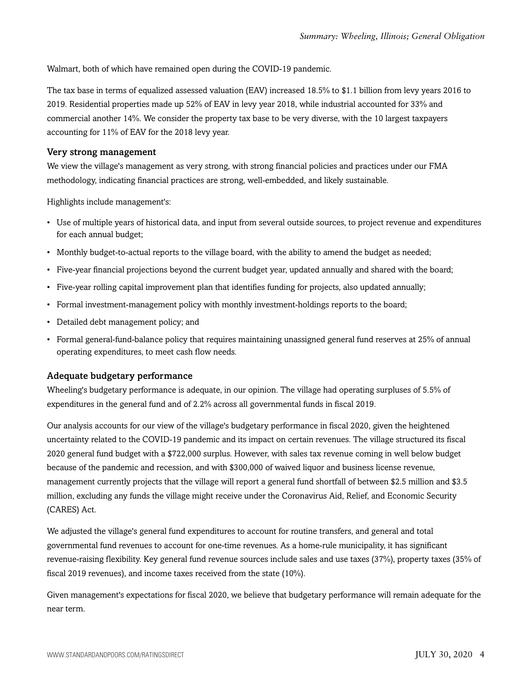Walmart, both of which have remained open during the COVID-19 pandemic.

The tax base in terms of equalized assessed valuation (EAV) increased 18.5% to \$1.1 billion from levy years 2016 to 2019. Residential properties made up 52% of EAV in levy year 2018, while industrial accounted for 33% and commercial another 14%. We consider the property tax base to be very diverse, with the 10 largest taxpayers accounting for 11% of EAV for the 2018 levy year.

### Very strong management

We view the village's management as very strong, with strong financial policies and practices under our FMA methodology, indicating financial practices are strong, well-embedded, and likely sustainable.

Highlights include management's:

- Use of multiple years of historical data, and input from several outside sources, to project revenue and expenditures for each annual budget;
- Monthly budget-to-actual reports to the village board, with the ability to amend the budget as needed;
- Five-year financial projections beyond the current budget year, updated annually and shared with the board;
- Five-year rolling capital improvement plan that identifies funding for projects, also updated annually;
- Formal investment-management policy with monthly investment-holdings reports to the board;
- Detailed debt management policy; and
- Formal general-fund-balance policy that requires maintaining unassigned general fund reserves at 25% of annual operating expenditures, to meet cash flow needs.

#### Adequate budgetary performance

Wheeling's budgetary performance is adequate, in our opinion. The village had operating surpluses of 5.5% of expenditures in the general fund and of 2.2% across all governmental funds in fiscal 2019.

Our analysis accounts for our view of the village's budgetary performance in fiscal 2020, given the heightened uncertainty related to the COVID-19 pandemic and its impact on certain revenues. The village structured its fiscal 2020 general fund budget with a \$722,000 surplus. However, with sales tax revenue coming in well below budget because of the pandemic and recession, and with \$300,000 of waived liquor and business license revenue, management currently projects that the village will report a general fund shortfall of between \$2.5 million and \$3.5 million, excluding any funds the village might receive under the Coronavirus Aid, Relief, and Economic Security (CARES) Act.

We adjusted the village's general fund expenditures to account for routine transfers, and general and total governmental fund revenues to account for one-time revenues. As a home-rule municipality, it has significant revenue-raising flexibility. Key general fund revenue sources include sales and use taxes (37%), property taxes (35% of fiscal 2019 revenues), and income taxes received from the state (10%).

Given management's expectations for fiscal 2020, we believe that budgetary performance will remain adequate for the near term.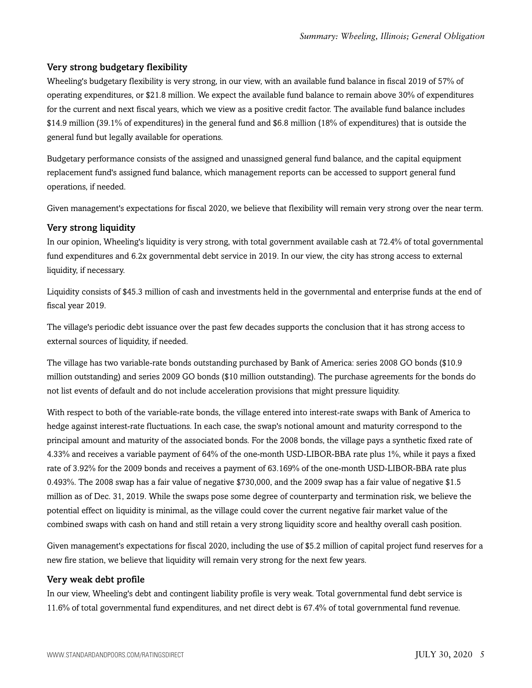# Very strong budgetary flexibility

Wheeling's budgetary flexibility is very strong, in our view, with an available fund balance in fiscal 2019 of 57% of operating expenditures, or \$21.8 million. We expect the available fund balance to remain above 30% of expenditures for the current and next fiscal years, which we view as a positive credit factor. The available fund balance includes \$14.9 million (39.1% of expenditures) in the general fund and \$6.8 million (18% of expenditures) that is outside the general fund but legally available for operations.

Budgetary performance consists of the assigned and unassigned general fund balance, and the capital equipment replacement fund's assigned fund balance, which management reports can be accessed to support general fund operations, if needed.

Given management's expectations for fiscal 2020, we believe that flexibility will remain very strong over the near term.

# Very strong liquidity

In our opinion, Wheeling's liquidity is very strong, with total government available cash at 72.4% of total governmental fund expenditures and 6.2x governmental debt service in 2019. In our view, the city has strong access to external liquidity, if necessary.

Liquidity consists of \$45.3 million of cash and investments held in the governmental and enterprise funds at the end of fiscal year 2019.

The village's periodic debt issuance over the past few decades supports the conclusion that it has strong access to external sources of liquidity, if needed.

The village has two variable-rate bonds outstanding purchased by Bank of America: series 2008 GO bonds (\$10.9 million outstanding) and series 2009 GO bonds (\$10 million outstanding). The purchase agreements for the bonds do not list events of default and do not include acceleration provisions that might pressure liquidity.

With respect to both of the variable-rate bonds, the village entered into interest-rate swaps with Bank of America to hedge against interest-rate fluctuations. In each case, the swap's notional amount and maturity correspond to the principal amount and maturity of the associated bonds. For the 2008 bonds, the village pays a synthetic fixed rate of 4.33% and receives a variable payment of 64% of the one-month USD-LIBOR-BBA rate plus 1%, while it pays a fixed rate of 3.92% for the 2009 bonds and receives a payment of 63.169% of the one-month USD-LIBOR-BBA rate plus 0.493%. The 2008 swap has a fair value of negative \$730,000, and the 2009 swap has a fair value of negative \$1.5 million as of Dec. 31, 2019. While the swaps pose some degree of counterparty and termination risk, we believe the potential effect on liquidity is minimal, as the village could cover the current negative fair market value of the combined swaps with cash on hand and still retain a very strong liquidity score and healthy overall cash position.

Given management's expectations for fiscal 2020, including the use of \$5.2 million of capital project fund reserves for a new fire station, we believe that liquidity will remain very strong for the next few years.

#### Very weak debt profile

In our view, Wheeling's debt and contingent liability profile is very weak. Total governmental fund debt service is 11.6% of total governmental fund expenditures, and net direct debt is 67.4% of total governmental fund revenue.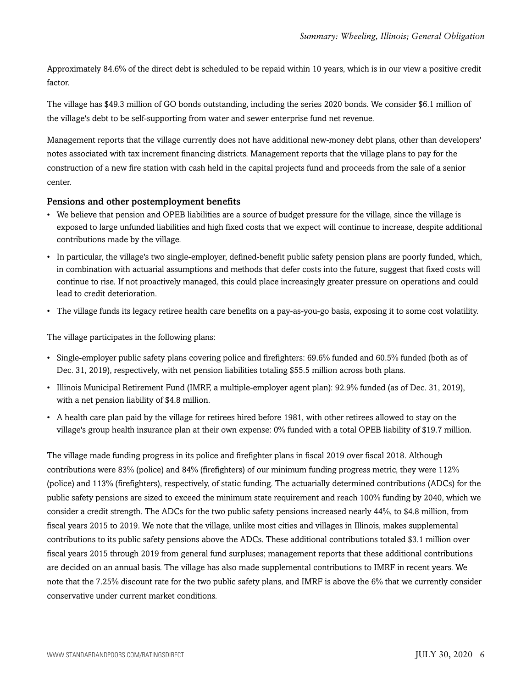Approximately 84.6% of the direct debt is scheduled to be repaid within 10 years, which is in our view a positive credit factor.

The village has \$49.3 million of GO bonds outstanding, including the series 2020 bonds. We consider \$6.1 million of the village's debt to be self-supporting from water and sewer enterprise fund net revenue.

Management reports that the village currently does not have additional new-money debt plans, other than developers' notes associated with tax increment financing districts. Management reports that the village plans to pay for the construction of a new fire station with cash held in the capital projects fund and proceeds from the sale of a senior center.

# Pensions and other postemployment benefits

- We believe that pension and OPEB liabilities are a source of budget pressure for the village, since the village is exposed to large unfunded liabilities and high fixed costs that we expect will continue to increase, despite additional contributions made by the village.
- In particular, the village's two single-employer, defined-benefit public safety pension plans are poorly funded, which, in combination with actuarial assumptions and methods that defer costs into the future, suggest that fixed costs will continue to rise. If not proactively managed, this could place increasingly greater pressure on operations and could lead to credit deterioration.
- The village funds its legacy retiree health care benefits on a pay-as-you-go basis, exposing it to some cost volatility.

The village participates in the following plans:

- Single-employer public safety plans covering police and firefighters: 69.6% funded and 60.5% funded (both as of Dec. 31, 2019), respectively, with net pension liabilities totaling \$55.5 million across both plans.
- Illinois Municipal Retirement Fund (IMRF, a multiple-employer agent plan): 92.9% funded (as of Dec. 31, 2019), with a net pension liability of \$4.8 million.
- A health care plan paid by the village for retirees hired before 1981, with other retirees allowed to stay on the village's group health insurance plan at their own expense: 0% funded with a total OPEB liability of \$19.7 million.

The village made funding progress in its police and firefighter plans in fiscal 2019 over fiscal 2018. Although contributions were 83% (police) and 84% (firefighters) of our minimum funding progress metric, they were 112% (police) and 113% (firefighters), respectively, of static funding. The actuarially determined contributions (ADCs) for the public safety pensions are sized to exceed the minimum state requirement and reach 100% funding by 2040, which we consider a credit strength. The ADCs for the two public safety pensions increased nearly 44%, to \$4.8 million, from fiscal years 2015 to 2019. We note that the village, unlike most cities and villages in Illinois, makes supplemental contributions to its public safety pensions above the ADCs. These additional contributions totaled \$3.1 million over fiscal years 2015 through 2019 from general fund surpluses; management reports that these additional contributions are decided on an annual basis. The village has also made supplemental contributions to IMRF in recent years. We note that the 7.25% discount rate for the two public safety plans, and IMRF is above the 6% that we currently consider conservative under current market conditions.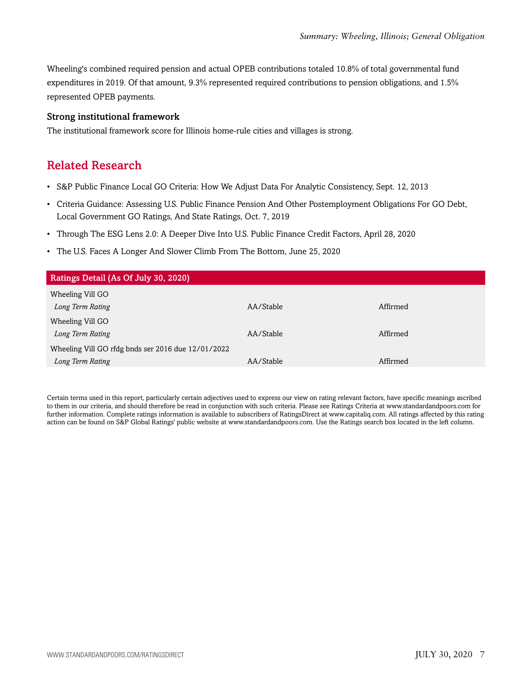Wheeling's combined required pension and actual OPEB contributions totaled 10.8% of total governmental fund expenditures in 2019. Of that amount, 9.3% represented required contributions to pension obligations, and 1.5% represented OPEB payments.

### Strong institutional framework

<span id="page-6-0"></span>The institutional framework score for Illinois home-rule cities and villages is strong.

# Related Research

- S&P Public Finance Local GO Criteria: How We Adjust Data For Analytic Consistency, Sept. 12, 2013
- Criteria Guidance: Assessing U.S. Public Finance Pension And Other Postemployment Obligations For GO Debt, Local Government GO Ratings, And State Ratings, Oct. 7, 2019
- Through The ESG Lens 2.0: A Deeper Dive Into U.S. Public Finance Credit Factors, April 28, 2020
- The U.S. Faces A Longer And Slower Climb From The Bottom, June 25, 2020

| Ratings Detail (As Of July 30, 2020)               |           |          |  |
|----------------------------------------------------|-----------|----------|--|
| Wheeling Vill GO                                   |           |          |  |
| Long Term Rating                                   | AA/Stable | Affirmed |  |
| Wheeling Vill GO                                   |           |          |  |
| Long Term Rating                                   | AA/Stable | Affirmed |  |
| Wheeling Vill GO rfdg bnds ser 2016 due 12/01/2022 |           |          |  |
| Long Term Rating                                   | AA/Stable | Affirmed |  |

Certain terms used in this report, particularly certain adjectives used to express our view on rating relevant factors, have specific meanings ascribed to them in our criteria, and should therefore be read in conjunction with such criteria. Please see Ratings Criteria at www.standardandpoors.com for further information. Complete ratings information is available to subscribers of RatingsDirect at www.capitaliq.com. All ratings affected by this rating action can be found on S&P Global Ratings' public website at www.standardandpoors.com. Use the Ratings search box located in the left column.